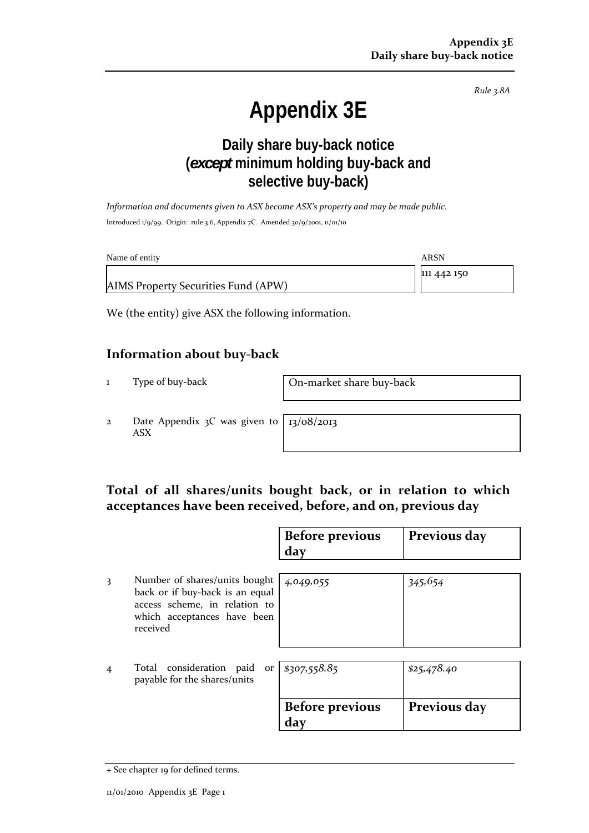*Rule 3.8A*

# **Appendix 3E**

# **Daily share buy-back notice (***except* **minimum holding buy-back and selective buy-back)**

*Information and documents given to ASX become ASX's property and may be made public.* Introduced 1/9/99. Origin: rule 3.6, Appendix 7C. Amended 30/9/2001, 11/01/10

| Name of entity                      | <b>ARSN</b> |
|-------------------------------------|-------------|
|                                     | 111 442 150 |
| AIMS Property Securities Fund (APW) |             |

We (the entity) give ASX the following information.

#### **Information about buy‐back**

1 Type of buy-back **On-market share buy-back** 

2 Date Appendix 3C was given to ASX

13/08/2013

## **Total of all shares/units bought back, or in relation to which acceptances have been received, before, and on, previous day**

|                |                                                                                                                                              | <b>Before previous</b><br>day | Previous day |
|----------------|----------------------------------------------------------------------------------------------------------------------------------------------|-------------------------------|--------------|
| 3              | Number of shares/units bought<br>back or if buy-back is an equal<br>access scheme, in relation to<br>which acceptances have been<br>received | 4,049,055                     | 345,654      |
| $\overline{4}$ | Total consideration paid or<br>payable for the shares/units                                                                                  | \$307,558.85                  | \$25,478.40  |
|                |                                                                                                                                              | <b>Before previous</b><br>day | Previous day |

<sup>+</sup> See chapter 19 for defined terms.